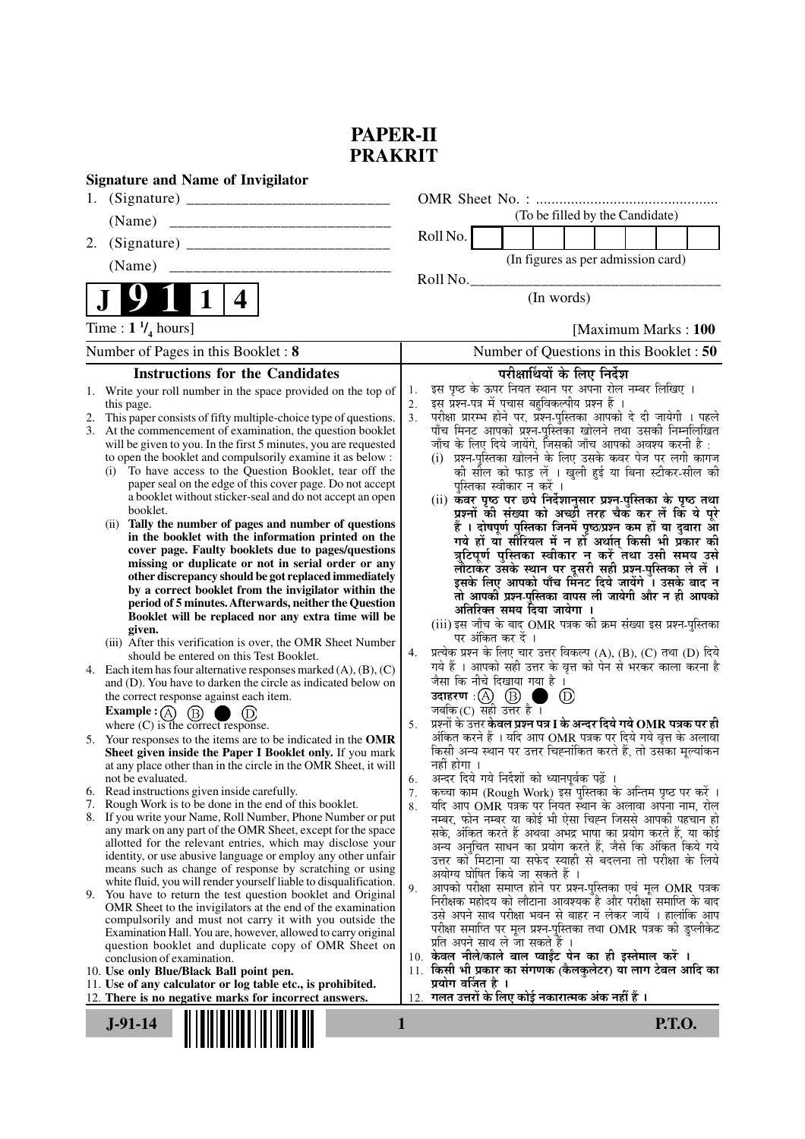## **PAPER-II PRAKRIT**

| 1.<br>(To be filled by the Candidate)<br>(Name)<br>Roll No.<br>2.<br>(In figures as per admission card)<br>(Name)<br>________________________________<br>Roll No.<br>$\mathbf 1$<br>(In words)<br>4<br>Time : $1 \frac{1}{4}$ hours]<br>[Maximum Marks: 100]<br>Number of Questions in this Booklet : 50<br>Number of Pages in this Booklet: 8<br><b>Instructions for the Candidates</b><br>परीक्षार्थियों के लिए निर्देश<br>इस पृष्ठ के ऊपर नियत स्थान पर अपना रोल नम्बर लिखिए ।<br>1. Write your roll number in the space provided on the top of<br>1.<br>इस प्रश्न-पत्र में पचास बहुविकल्पीय प्रश्न हैं ।<br>2.<br>this page.<br>परीक्षा प्रारम्भ होने पर, प्रश्न-पुस्तिका आपको दे दी जायेगी । पहले<br>3 <sub>1</sub><br>This paper consists of fifty multiple-choice type of questions.<br>2.<br>पाँच मिनट आपको प्रश्न-पुस्तिका खोलने तथा उसकी निम्नलिखित<br>3. At the commencement of examination, the question booklet<br>जाँच के लिए दिये जायेंगे, जिसकी जाँच आपको अवश्य करनी है :<br>will be given to you. In the first 5 minutes, you are requested<br>to open the booklet and compulsorily examine it as below :<br>(i) प्रश्न-पुस्तिका खोलने के लिए उसके कवर पेज पर लगी कागज<br>To have access to the Question Booklet, tear off the<br>की सील को फाड़ लें । खुली हुई या बिना स्टीकर-सील की<br>(i)<br>paper seal on the edge of this cover page. Do not accept<br>पुस्तिका स्वीकार न करें ।<br>a booklet without sticker-seal and do not accept an open<br>(ii) कवर पृष्ठ पर छपे निर्देशानुसार प्रश्न-पुस्तिका के पृष्ठ तथा<br>booklet.<br>प्रश्नों की संख्या को अच्छी तरह चैक कर लें कि ये पूरे<br>Tally the number of pages and number of questions<br>(ii)<br>हैं । दोषपूर्ण पुस्तिका जिनमें पृष्ठ/प्रश्न कम हों या दुबारा आ<br>in the booklet with the information printed on the<br>गये हों या सीरियल में न हों अर्थात् किसी भी प्रकार की<br>cover page. Faulty booklets due to pages/questions<br>त्रुटिपूर्ण पुस्तिका स्वीकार न करें तथा उसी समय उसे<br>missing or duplicate or not in serial order or any<br>लौटाकर उसके स्थान पर दूसरी सही प्रश्न-पुस्तिका ले लें ।<br>इसके लिए आपको पाँच मिनट दिये जायेंगे । उसके बाद न<br>other discrepancy should be got replaced immediately<br>by a correct booklet from the invigilator within the<br>तो आपकी प्रश्न-पुस्तिका वापस ली जायेगी और न ही आपको<br>period of 5 minutes. Afterwards, neither the Question<br>अतिरिक्त समय दिया जायेगा ।<br>Booklet will be replaced nor any extra time will be<br>(iii) इस जाँच के बाद OMR पत्रक की क्रम संख्या इस प्रश्न-पुस्तिका<br>given.<br>पर अंकित कर दें ।<br>(iii) After this verification is over, the OMR Sheet Number<br>प्रत्येक प्रश्न के लिए चार उत्तर विकल्प (A), (B), (C) तथा (D) दिये<br>4.<br>should be entered on this Test Booklet.<br>गये हैं । आपको सही उत्तर के वृत्त को पेन से भरकर काला करना है<br>4. Each item has four alternative responses marked $(A)$ , $(B)$ , $(C)$<br>जैसा कि नीचे दिखाया गया है।<br>and (D). You have to darken the circle as indicated below on<br><b>उदाहरण</b> : $\overline{(\mathsf{A})}$ $\overline{(\mathsf{B})}$ <b>.</b><br>जबकि(C) सही उत्तर है ।<br>(D)<br>the correct response against each item.<br><b>Example</b> : $\overline{A}$<br>(B)<br>प्रश्नों के उत्तर <b>केवल प्रश्न पत्र I के अन्दर दिये गये OMR पत्रक पर ही</b><br>where $(C)$ is the correct response.<br>5.<br>अंकित करने हैं । यदि आप OMR पत्रक पर दिये गये वृत्त के अलावा<br>5. Your responses to the items are to be indicated in the OMR<br>किसी अन्य स्थान पर उत्तर चिह्नांकित करते हैं, तो उसँका मूल्यांकन<br>Sheet given inside the Paper I Booklet only. If you mark<br>नहीं होगा ।<br>at any place other than in the circle in the OMR Sheet, it will<br>अन्दर दिये गये निर्देशों को ध्यानपूर्वक पढ़ें ।<br>not be evaluated.<br>6.<br>6. Read instructions given inside carefully.<br>कच्चा काम (Rough Work) इस पुस्तिका के अन्तिम पृष्ठ पर करें ।<br>7.<br>Rough Work is to be done in the end of this booklet.<br>यदि आप OMR पत्रक पर नियत स्थान के अलावा अपना नाम, रोल<br>8.<br>8. If you write your Name, Roll Number, Phone Number or put<br>नम्बर, फोन नम्बर या कोई भी ऐसा चिह्न जिससे आपकी पहचान हो<br>any mark on any part of the OMR Sheet, except for the space<br>सके, अंकित करते हैं अथवा अभद्र भाषा का प्रयोग करते हैं, या कोई<br>allotted for the relevant entries, which may disclose your<br>अन्य अनुचित साधन का प्रयोग करते हैं, जैसे कि अंकित किये गये<br>identity, or use abusive language or employ any other unfair<br>उत्तर को मिटाना या सफेद स्याही से बदलना तो परीक्षा के लिये<br>means such as change of response by scratching or using<br>अयोग्य घोषित किये जा सकते हैं ।<br>white fluid, you will render yourself liable to disqualification.<br>आपको परीक्षा समाप्त होने पर प्रश्न-पुस्तिका एवं मूल OMR पत्रक<br>9.<br>9. You have to return the test question booklet and Original<br>निरीक्षक महोदय को लौटाना आवश्यक है और परीक्षा समाप्ति के बाद<br>OMR Sheet to the invigilators at the end of the examination<br>उसे अपने साथ परीक्षा भवन से बाहर न लेकर जायें । हालांकि आप<br>compulsorily and must not carry it with you outside the<br>परीक्षा समाप्ति पर मूल प्रश्न-पुस्तिका तथा OMR पत्रक की डुप्लीकेट<br>Examination Hall. You are, however, allowed to carry original<br>प्रति अपने साथ ले जा सकते हैं ।<br>question booklet and duplicate copy of OMR Sheet on<br>10. केवल नीले/काले बाल प्वाईंट पेन का ही इस्तेमाल करें ।<br>conclusion of examination.<br>11. किसी भी प्रकार का संगणक (कैलकुलेटर) या लाग टेबल आदि का<br>10. Use only Blue/Black Ball point pen.<br>प्रयोग वर्जित है ।<br>11. Use of any calculator or log table etc., is prohibited.<br>गलत उत्तरों के लिए कोई नकारात्मक अंक नहीं हैं ।<br>12. There is no negative marks for incorrect answers.<br>12.<br>$J-91-14$<br><b>P.T.O.</b><br>1 | <b>Signature and Name of Invigilator</b> |  |
|--------------------------------------------------------------------------------------------------------------------------------------------------------------------------------------------------------------------------------------------------------------------------------------------------------------------------------------------------------------------------------------------------------------------------------------------------------------------------------------------------------------------------------------------------------------------------------------------------------------------------------------------------------------------------------------------------------------------------------------------------------------------------------------------------------------------------------------------------------------------------------------------------------------------------------------------------------------------------------------------------------------------------------------------------------------------------------------------------------------------------------------------------------------------------------------------------------------------------------------------------------------------------------------------------------------------------------------------------------------------------------------------------------------------------------------------------------------------------------------------------------------------------------------------------------------------------------------------------------------------------------------------------------------------------------------------------------------------------------------------------------------------------------------------------------------------------------------------------------------------------------------------------------------------------------------------------------------------------------------------------------------------------------------------------------------------------------------------------------------------------------------------------------------------------------------------------------------------------------------------------------------------------------------------------------------------------------------------------------------------------------------------------------------------------------------------------------------------------------------------------------------------------------------------------------------------------------------------------------------------------------------------------------------------------------------------------------------------------------------------------------------------------------------------------------------------------------------------------------------------------------------------------------------------------------------------------------------------------------------------------------------------------------------------------------------------------------------------------------------------------------------------------------------------------------------------------------------------------------------------------------------------------------------------------------------------------------------------------------------------------------------------------------------------------------------------------------------------------------------------------------------------------------------------------------------------------------------------------------------------------------------------------------------------------------------------------------------------------------------------------------------------------------------------------------------------------------------------------------------------------------------------------------------------------------------------------------------------------------------------------------------------------------------------------------------------------------------------------------------------------------------------------------------------------------------------------------------------------------------------------------------------------------------------------------------------------------------------------------------------------------------------------------------------------------------------------------------------------------------------------------------------------------------------------------------------------------------------------------------------------------------------------------------------------------------------------------------------------------------------------------------------------------------------------------------------------------------------------------------------------------------------------------------------------------------------------------------------------------------------------------------------------------------------------------------------------------------------------------------------------------------------------------------------------------------------------------------------------------------------------------------------------------------------------------------------------------------------------------------------------------------------------------------------------------------------------------------------------------------------------------------------------------------------------------------------------------------------------------------------------------------------------------------------------------------------------------------------------------------------------------------------------------------------------|------------------------------------------|--|
|                                                                                                                                                                                                                                                                                                                                                                                                                                                                                                                                                                                                                                                                                                                                                                                                                                                                                                                                                                                                                                                                                                                                                                                                                                                                                                                                                                                                                                                                                                                                                                                                                                                                                                                                                                                                                                                                                                                                                                                                                                                                                                                                                                                                                                                                                                                                                                                                                                                                                                                                                                                                                                                                                                                                                                                                                                                                                                                                                                                                                                                                                                                                                                                                                                                                                                                                                                                                                                                                                                                                                                                                                                                                                                                                                                                                                                                                                                                                                                                                                                                                                                                                                                                                                                                                                                                                                                                                                                                                                                                                                                                                                                                                                                                                                                                                                                                                                                                                                                                                                                                                                                                                                                                                                                                                                                                                                                                                                                                                                                                                                                                                                                                                                                                                                                                                  |                                          |  |
|                                                                                                                                                                                                                                                                                                                                                                                                                                                                                                                                                                                                                                                                                                                                                                                                                                                                                                                                                                                                                                                                                                                                                                                                                                                                                                                                                                                                                                                                                                                                                                                                                                                                                                                                                                                                                                                                                                                                                                                                                                                                                                                                                                                                                                                                                                                                                                                                                                                                                                                                                                                                                                                                                                                                                                                                                                                                                                                                                                                                                                                                                                                                                                                                                                                                                                                                                                                                                                                                                                                                                                                                                                                                                                                                                                                                                                                                                                                                                                                                                                                                                                                                                                                                                                                                                                                                                                                                                                                                                                                                                                                                                                                                                                                                                                                                                                                                                                                                                                                                                                                                                                                                                                                                                                                                                                                                                                                                                                                                                                                                                                                                                                                                                                                                                                                                  |                                          |  |
|                                                                                                                                                                                                                                                                                                                                                                                                                                                                                                                                                                                                                                                                                                                                                                                                                                                                                                                                                                                                                                                                                                                                                                                                                                                                                                                                                                                                                                                                                                                                                                                                                                                                                                                                                                                                                                                                                                                                                                                                                                                                                                                                                                                                                                                                                                                                                                                                                                                                                                                                                                                                                                                                                                                                                                                                                                                                                                                                                                                                                                                                                                                                                                                                                                                                                                                                                                                                                                                                                                                                                                                                                                                                                                                                                                                                                                                                                                                                                                                                                                                                                                                                                                                                                                                                                                                                                                                                                                                                                                                                                                                                                                                                                                                                                                                                                                                                                                                                                                                                                                                                                                                                                                                                                                                                                                                                                                                                                                                                                                                                                                                                                                                                                                                                                                                                  |                                          |  |
|                                                                                                                                                                                                                                                                                                                                                                                                                                                                                                                                                                                                                                                                                                                                                                                                                                                                                                                                                                                                                                                                                                                                                                                                                                                                                                                                                                                                                                                                                                                                                                                                                                                                                                                                                                                                                                                                                                                                                                                                                                                                                                                                                                                                                                                                                                                                                                                                                                                                                                                                                                                                                                                                                                                                                                                                                                                                                                                                                                                                                                                                                                                                                                                                                                                                                                                                                                                                                                                                                                                                                                                                                                                                                                                                                                                                                                                                                                                                                                                                                                                                                                                                                                                                                                                                                                                                                                                                                                                                                                                                                                                                                                                                                                                                                                                                                                                                                                                                                                                                                                                                                                                                                                                                                                                                                                                                                                                                                                                                                                                                                                                                                                                                                                                                                                                                  |                                          |  |
|                                                                                                                                                                                                                                                                                                                                                                                                                                                                                                                                                                                                                                                                                                                                                                                                                                                                                                                                                                                                                                                                                                                                                                                                                                                                                                                                                                                                                                                                                                                                                                                                                                                                                                                                                                                                                                                                                                                                                                                                                                                                                                                                                                                                                                                                                                                                                                                                                                                                                                                                                                                                                                                                                                                                                                                                                                                                                                                                                                                                                                                                                                                                                                                                                                                                                                                                                                                                                                                                                                                                                                                                                                                                                                                                                                                                                                                                                                                                                                                                                                                                                                                                                                                                                                                                                                                                                                                                                                                                                                                                                                                                                                                                                                                                                                                                                                                                                                                                                                                                                                                                                                                                                                                                                                                                                                                                                                                                                                                                                                                                                                                                                                                                                                                                                                                                  |                                          |  |
|                                                                                                                                                                                                                                                                                                                                                                                                                                                                                                                                                                                                                                                                                                                                                                                                                                                                                                                                                                                                                                                                                                                                                                                                                                                                                                                                                                                                                                                                                                                                                                                                                                                                                                                                                                                                                                                                                                                                                                                                                                                                                                                                                                                                                                                                                                                                                                                                                                                                                                                                                                                                                                                                                                                                                                                                                                                                                                                                                                                                                                                                                                                                                                                                                                                                                                                                                                                                                                                                                                                                                                                                                                                                                                                                                                                                                                                                                                                                                                                                                                                                                                                                                                                                                                                                                                                                                                                                                                                                                                                                                                                                                                                                                                                                                                                                                                                                                                                                                                                                                                                                                                                                                                                                                                                                                                                                                                                                                                                                                                                                                                                                                                                                                                                                                                                                  |                                          |  |
|                                                                                                                                                                                                                                                                                                                                                                                                                                                                                                                                                                                                                                                                                                                                                                                                                                                                                                                                                                                                                                                                                                                                                                                                                                                                                                                                                                                                                                                                                                                                                                                                                                                                                                                                                                                                                                                                                                                                                                                                                                                                                                                                                                                                                                                                                                                                                                                                                                                                                                                                                                                                                                                                                                                                                                                                                                                                                                                                                                                                                                                                                                                                                                                                                                                                                                                                                                                                                                                                                                                                                                                                                                                                                                                                                                                                                                                                                                                                                                                                                                                                                                                                                                                                                                                                                                                                                                                                                                                                                                                                                                                                                                                                                                                                                                                                                                                                                                                                                                                                                                                                                                                                                                                                                                                                                                                                                                                                                                                                                                                                                                                                                                                                                                                                                                                                  |                                          |  |
|                                                                                                                                                                                                                                                                                                                                                                                                                                                                                                                                                                                                                                                                                                                                                                                                                                                                                                                                                                                                                                                                                                                                                                                                                                                                                                                                                                                                                                                                                                                                                                                                                                                                                                                                                                                                                                                                                                                                                                                                                                                                                                                                                                                                                                                                                                                                                                                                                                                                                                                                                                                                                                                                                                                                                                                                                                                                                                                                                                                                                                                                                                                                                                                                                                                                                                                                                                                                                                                                                                                                                                                                                                                                                                                                                                                                                                                                                                                                                                                                                                                                                                                                                                                                                                                                                                                                                                                                                                                                                                                                                                                                                                                                                                                                                                                                                                                                                                                                                                                                                                                                                                                                                                                                                                                                                                                                                                                                                                                                                                                                                                                                                                                                                                                                                                                                  |                                          |  |
|                                                                                                                                                                                                                                                                                                                                                                                                                                                                                                                                                                                                                                                                                                                                                                                                                                                                                                                                                                                                                                                                                                                                                                                                                                                                                                                                                                                                                                                                                                                                                                                                                                                                                                                                                                                                                                                                                                                                                                                                                                                                                                                                                                                                                                                                                                                                                                                                                                                                                                                                                                                                                                                                                                                                                                                                                                                                                                                                                                                                                                                                                                                                                                                                                                                                                                                                                                                                                                                                                                                                                                                                                                                                                                                                                                                                                                                                                                                                                                                                                                                                                                                                                                                                                                                                                                                                                                                                                                                                                                                                                                                                                                                                                                                                                                                                                                                                                                                                                                                                                                                                                                                                                                                                                                                                                                                                                                                                                                                                                                                                                                                                                                                                                                                                                                                                  |                                          |  |
|                                                                                                                                                                                                                                                                                                                                                                                                                                                                                                                                                                                                                                                                                                                                                                                                                                                                                                                                                                                                                                                                                                                                                                                                                                                                                                                                                                                                                                                                                                                                                                                                                                                                                                                                                                                                                                                                                                                                                                                                                                                                                                                                                                                                                                                                                                                                                                                                                                                                                                                                                                                                                                                                                                                                                                                                                                                                                                                                                                                                                                                                                                                                                                                                                                                                                                                                                                                                                                                                                                                                                                                                                                                                                                                                                                                                                                                                                                                                                                                                                                                                                                                                                                                                                                                                                                                                                                                                                                                                                                                                                                                                                                                                                                                                                                                                                                                                                                                                                                                                                                                                                                                                                                                                                                                                                                                                                                                                                                                                                                                                                                                                                                                                                                                                                                                                  |                                          |  |
|                                                                                                                                                                                                                                                                                                                                                                                                                                                                                                                                                                                                                                                                                                                                                                                                                                                                                                                                                                                                                                                                                                                                                                                                                                                                                                                                                                                                                                                                                                                                                                                                                                                                                                                                                                                                                                                                                                                                                                                                                                                                                                                                                                                                                                                                                                                                                                                                                                                                                                                                                                                                                                                                                                                                                                                                                                                                                                                                                                                                                                                                                                                                                                                                                                                                                                                                                                                                                                                                                                                                                                                                                                                                                                                                                                                                                                                                                                                                                                                                                                                                                                                                                                                                                                                                                                                                                                                                                                                                                                                                                                                                                                                                                                                                                                                                                                                                                                                                                                                                                                                                                                                                                                                                                                                                                                                                                                                                                                                                                                                                                                                                                                                                                                                                                                                                  |                                          |  |
|                                                                                                                                                                                                                                                                                                                                                                                                                                                                                                                                                                                                                                                                                                                                                                                                                                                                                                                                                                                                                                                                                                                                                                                                                                                                                                                                                                                                                                                                                                                                                                                                                                                                                                                                                                                                                                                                                                                                                                                                                                                                                                                                                                                                                                                                                                                                                                                                                                                                                                                                                                                                                                                                                                                                                                                                                                                                                                                                                                                                                                                                                                                                                                                                                                                                                                                                                                                                                                                                                                                                                                                                                                                                                                                                                                                                                                                                                                                                                                                                                                                                                                                                                                                                                                                                                                                                                                                                                                                                                                                                                                                                                                                                                                                                                                                                                                                                                                                                                                                                                                                                                                                                                                                                                                                                                                                                                                                                                                                                                                                                                                                                                                                                                                                                                                                                  |                                          |  |
|                                                                                                                                                                                                                                                                                                                                                                                                                                                                                                                                                                                                                                                                                                                                                                                                                                                                                                                                                                                                                                                                                                                                                                                                                                                                                                                                                                                                                                                                                                                                                                                                                                                                                                                                                                                                                                                                                                                                                                                                                                                                                                                                                                                                                                                                                                                                                                                                                                                                                                                                                                                                                                                                                                                                                                                                                                                                                                                                                                                                                                                                                                                                                                                                                                                                                                                                                                                                                                                                                                                                                                                                                                                                                                                                                                                                                                                                                                                                                                                                                                                                                                                                                                                                                                                                                                                                                                                                                                                                                                                                                                                                                                                                                                                                                                                                                                                                                                                                                                                                                                                                                                                                                                                                                                                                                                                                                                                                                                                                                                                                                                                                                                                                                                                                                                                                  |                                          |  |
|                                                                                                                                                                                                                                                                                                                                                                                                                                                                                                                                                                                                                                                                                                                                                                                                                                                                                                                                                                                                                                                                                                                                                                                                                                                                                                                                                                                                                                                                                                                                                                                                                                                                                                                                                                                                                                                                                                                                                                                                                                                                                                                                                                                                                                                                                                                                                                                                                                                                                                                                                                                                                                                                                                                                                                                                                                                                                                                                                                                                                                                                                                                                                                                                                                                                                                                                                                                                                                                                                                                                                                                                                                                                                                                                                                                                                                                                                                                                                                                                                                                                                                                                                                                                                                                                                                                                                                                                                                                                                                                                                                                                                                                                                                                                                                                                                                                                                                                                                                                                                                                                                                                                                                                                                                                                                                                                                                                                                                                                                                                                                                                                                                                                                                                                                                                                  |                                          |  |
|                                                                                                                                                                                                                                                                                                                                                                                                                                                                                                                                                                                                                                                                                                                                                                                                                                                                                                                                                                                                                                                                                                                                                                                                                                                                                                                                                                                                                                                                                                                                                                                                                                                                                                                                                                                                                                                                                                                                                                                                                                                                                                                                                                                                                                                                                                                                                                                                                                                                                                                                                                                                                                                                                                                                                                                                                                                                                                                                                                                                                                                                                                                                                                                                                                                                                                                                                                                                                                                                                                                                                                                                                                                                                                                                                                                                                                                                                                                                                                                                                                                                                                                                                                                                                                                                                                                                                                                                                                                                                                                                                                                                                                                                                                                                                                                                                                                                                                                                                                                                                                                                                                                                                                                                                                                                                                                                                                                                                                                                                                                                                                                                                                                                                                                                                                                                  |                                          |  |
|                                                                                                                                                                                                                                                                                                                                                                                                                                                                                                                                                                                                                                                                                                                                                                                                                                                                                                                                                                                                                                                                                                                                                                                                                                                                                                                                                                                                                                                                                                                                                                                                                                                                                                                                                                                                                                                                                                                                                                                                                                                                                                                                                                                                                                                                                                                                                                                                                                                                                                                                                                                                                                                                                                                                                                                                                                                                                                                                                                                                                                                                                                                                                                                                                                                                                                                                                                                                                                                                                                                                                                                                                                                                                                                                                                                                                                                                                                                                                                                                                                                                                                                                                                                                                                                                                                                                                                                                                                                                                                                                                                                                                                                                                                                                                                                                                                                                                                                                                                                                                                                                                                                                                                                                                                                                                                                                                                                                                                                                                                                                                                                                                                                                                                                                                                                                  |                                          |  |
|                                                                                                                                                                                                                                                                                                                                                                                                                                                                                                                                                                                                                                                                                                                                                                                                                                                                                                                                                                                                                                                                                                                                                                                                                                                                                                                                                                                                                                                                                                                                                                                                                                                                                                                                                                                                                                                                                                                                                                                                                                                                                                                                                                                                                                                                                                                                                                                                                                                                                                                                                                                                                                                                                                                                                                                                                                                                                                                                                                                                                                                                                                                                                                                                                                                                                                                                                                                                                                                                                                                                                                                                                                                                                                                                                                                                                                                                                                                                                                                                                                                                                                                                                                                                                                                                                                                                                                                                                                                                                                                                                                                                                                                                                                                                                                                                                                                                                                                                                                                                                                                                                                                                                                                                                                                                                                                                                                                                                                                                                                                                                                                                                                                                                                                                                                                                  |                                          |  |
|                                                                                                                                                                                                                                                                                                                                                                                                                                                                                                                                                                                                                                                                                                                                                                                                                                                                                                                                                                                                                                                                                                                                                                                                                                                                                                                                                                                                                                                                                                                                                                                                                                                                                                                                                                                                                                                                                                                                                                                                                                                                                                                                                                                                                                                                                                                                                                                                                                                                                                                                                                                                                                                                                                                                                                                                                                                                                                                                                                                                                                                                                                                                                                                                                                                                                                                                                                                                                                                                                                                                                                                                                                                                                                                                                                                                                                                                                                                                                                                                                                                                                                                                                                                                                                                                                                                                                                                                                                                                                                                                                                                                                                                                                                                                                                                                                                                                                                                                                                                                                                                                                                                                                                                                                                                                                                                                                                                                                                                                                                                                                                                                                                                                                                                                                                                                  |                                          |  |
|                                                                                                                                                                                                                                                                                                                                                                                                                                                                                                                                                                                                                                                                                                                                                                                                                                                                                                                                                                                                                                                                                                                                                                                                                                                                                                                                                                                                                                                                                                                                                                                                                                                                                                                                                                                                                                                                                                                                                                                                                                                                                                                                                                                                                                                                                                                                                                                                                                                                                                                                                                                                                                                                                                                                                                                                                                                                                                                                                                                                                                                                                                                                                                                                                                                                                                                                                                                                                                                                                                                                                                                                                                                                                                                                                                                                                                                                                                                                                                                                                                                                                                                                                                                                                                                                                                                                                                                                                                                                                                                                                                                                                                                                                                                                                                                                                                                                                                                                                                                                                                                                                                                                                                                                                                                                                                                                                                                                                                                                                                                                                                                                                                                                                                                                                                                                  |                                          |  |
|                                                                                                                                                                                                                                                                                                                                                                                                                                                                                                                                                                                                                                                                                                                                                                                                                                                                                                                                                                                                                                                                                                                                                                                                                                                                                                                                                                                                                                                                                                                                                                                                                                                                                                                                                                                                                                                                                                                                                                                                                                                                                                                                                                                                                                                                                                                                                                                                                                                                                                                                                                                                                                                                                                                                                                                                                                                                                                                                                                                                                                                                                                                                                                                                                                                                                                                                                                                                                                                                                                                                                                                                                                                                                                                                                                                                                                                                                                                                                                                                                                                                                                                                                                                                                                                                                                                                                                                                                                                                                                                                                                                                                                                                                                                                                                                                                                                                                                                                                                                                                                                                                                                                                                                                                                                                                                                                                                                                                                                                                                                                                                                                                                                                                                                                                                                                  |                                          |  |
|                                                                                                                                                                                                                                                                                                                                                                                                                                                                                                                                                                                                                                                                                                                                                                                                                                                                                                                                                                                                                                                                                                                                                                                                                                                                                                                                                                                                                                                                                                                                                                                                                                                                                                                                                                                                                                                                                                                                                                                                                                                                                                                                                                                                                                                                                                                                                                                                                                                                                                                                                                                                                                                                                                                                                                                                                                                                                                                                                                                                                                                                                                                                                                                                                                                                                                                                                                                                                                                                                                                                                                                                                                                                                                                                                                                                                                                                                                                                                                                                                                                                                                                                                                                                                                                                                                                                                                                                                                                                                                                                                                                                                                                                                                                                                                                                                                                                                                                                                                                                                                                                                                                                                                                                                                                                                                                                                                                                                                                                                                                                                                                                                                                                                                                                                                                                  |                                          |  |
|                                                                                                                                                                                                                                                                                                                                                                                                                                                                                                                                                                                                                                                                                                                                                                                                                                                                                                                                                                                                                                                                                                                                                                                                                                                                                                                                                                                                                                                                                                                                                                                                                                                                                                                                                                                                                                                                                                                                                                                                                                                                                                                                                                                                                                                                                                                                                                                                                                                                                                                                                                                                                                                                                                                                                                                                                                                                                                                                                                                                                                                                                                                                                                                                                                                                                                                                                                                                                                                                                                                                                                                                                                                                                                                                                                                                                                                                                                                                                                                                                                                                                                                                                                                                                                                                                                                                                                                                                                                                                                                                                                                                                                                                                                                                                                                                                                                                                                                                                                                                                                                                                                                                                                                                                                                                                                                                                                                                                                                                                                                                                                                                                                                                                                                                                                                                  |                                          |  |
|                                                                                                                                                                                                                                                                                                                                                                                                                                                                                                                                                                                                                                                                                                                                                                                                                                                                                                                                                                                                                                                                                                                                                                                                                                                                                                                                                                                                                                                                                                                                                                                                                                                                                                                                                                                                                                                                                                                                                                                                                                                                                                                                                                                                                                                                                                                                                                                                                                                                                                                                                                                                                                                                                                                                                                                                                                                                                                                                                                                                                                                                                                                                                                                                                                                                                                                                                                                                                                                                                                                                                                                                                                                                                                                                                                                                                                                                                                                                                                                                                                                                                                                                                                                                                                                                                                                                                                                                                                                                                                                                                                                                                                                                                                                                                                                                                                                                                                                                                                                                                                                                                                                                                                                                                                                                                                                                                                                                                                                                                                                                                                                                                                                                                                                                                                                                  |                                          |  |
|                                                                                                                                                                                                                                                                                                                                                                                                                                                                                                                                                                                                                                                                                                                                                                                                                                                                                                                                                                                                                                                                                                                                                                                                                                                                                                                                                                                                                                                                                                                                                                                                                                                                                                                                                                                                                                                                                                                                                                                                                                                                                                                                                                                                                                                                                                                                                                                                                                                                                                                                                                                                                                                                                                                                                                                                                                                                                                                                                                                                                                                                                                                                                                                                                                                                                                                                                                                                                                                                                                                                                                                                                                                                                                                                                                                                                                                                                                                                                                                                                                                                                                                                                                                                                                                                                                                                                                                                                                                                                                                                                                                                                                                                                                                                                                                                                                                                                                                                                                                                                                                                                                                                                                                                                                                                                                                                                                                                                                                                                                                                                                                                                                                                                                                                                                                                  |                                          |  |
|                                                                                                                                                                                                                                                                                                                                                                                                                                                                                                                                                                                                                                                                                                                                                                                                                                                                                                                                                                                                                                                                                                                                                                                                                                                                                                                                                                                                                                                                                                                                                                                                                                                                                                                                                                                                                                                                                                                                                                                                                                                                                                                                                                                                                                                                                                                                                                                                                                                                                                                                                                                                                                                                                                                                                                                                                                                                                                                                                                                                                                                                                                                                                                                                                                                                                                                                                                                                                                                                                                                                                                                                                                                                                                                                                                                                                                                                                                                                                                                                                                                                                                                                                                                                                                                                                                                                                                                                                                                                                                                                                                                                                                                                                                                                                                                                                                                                                                                                                                                                                                                                                                                                                                                                                                                                                                                                                                                                                                                                                                                                                                                                                                                                                                                                                                                                  |                                          |  |
|                                                                                                                                                                                                                                                                                                                                                                                                                                                                                                                                                                                                                                                                                                                                                                                                                                                                                                                                                                                                                                                                                                                                                                                                                                                                                                                                                                                                                                                                                                                                                                                                                                                                                                                                                                                                                                                                                                                                                                                                                                                                                                                                                                                                                                                                                                                                                                                                                                                                                                                                                                                                                                                                                                                                                                                                                                                                                                                                                                                                                                                                                                                                                                                                                                                                                                                                                                                                                                                                                                                                                                                                                                                                                                                                                                                                                                                                                                                                                                                                                                                                                                                                                                                                                                                                                                                                                                                                                                                                                                                                                                                                                                                                                                                                                                                                                                                                                                                                                                                                                                                                                                                                                                                                                                                                                                                                                                                                                                                                                                                                                                                                                                                                                                                                                                                                  |                                          |  |
|                                                                                                                                                                                                                                                                                                                                                                                                                                                                                                                                                                                                                                                                                                                                                                                                                                                                                                                                                                                                                                                                                                                                                                                                                                                                                                                                                                                                                                                                                                                                                                                                                                                                                                                                                                                                                                                                                                                                                                                                                                                                                                                                                                                                                                                                                                                                                                                                                                                                                                                                                                                                                                                                                                                                                                                                                                                                                                                                                                                                                                                                                                                                                                                                                                                                                                                                                                                                                                                                                                                                                                                                                                                                                                                                                                                                                                                                                                                                                                                                                                                                                                                                                                                                                                                                                                                                                                                                                                                                                                                                                                                                                                                                                                                                                                                                                                                                                                                                                                                                                                                                                                                                                                                                                                                                                                                                                                                                                                                                                                                                                                                                                                                                                                                                                                                                  |                                          |  |
|                                                                                                                                                                                                                                                                                                                                                                                                                                                                                                                                                                                                                                                                                                                                                                                                                                                                                                                                                                                                                                                                                                                                                                                                                                                                                                                                                                                                                                                                                                                                                                                                                                                                                                                                                                                                                                                                                                                                                                                                                                                                                                                                                                                                                                                                                                                                                                                                                                                                                                                                                                                                                                                                                                                                                                                                                                                                                                                                                                                                                                                                                                                                                                                                                                                                                                                                                                                                                                                                                                                                                                                                                                                                                                                                                                                                                                                                                                                                                                                                                                                                                                                                                                                                                                                                                                                                                                                                                                                                                                                                                                                                                                                                                                                                                                                                                                                                                                                                                                                                                                                                                                                                                                                                                                                                                                                                                                                                                                                                                                                                                                                                                                                                                                                                                                                                  |                                          |  |
|                                                                                                                                                                                                                                                                                                                                                                                                                                                                                                                                                                                                                                                                                                                                                                                                                                                                                                                                                                                                                                                                                                                                                                                                                                                                                                                                                                                                                                                                                                                                                                                                                                                                                                                                                                                                                                                                                                                                                                                                                                                                                                                                                                                                                                                                                                                                                                                                                                                                                                                                                                                                                                                                                                                                                                                                                                                                                                                                                                                                                                                                                                                                                                                                                                                                                                                                                                                                                                                                                                                                                                                                                                                                                                                                                                                                                                                                                                                                                                                                                                                                                                                                                                                                                                                                                                                                                                                                                                                                                                                                                                                                                                                                                                                                                                                                                                                                                                                                                                                                                                                                                                                                                                                                                                                                                                                                                                                                                                                                                                                                                                                                                                                                                                                                                                                                  |                                          |  |
|                                                                                                                                                                                                                                                                                                                                                                                                                                                                                                                                                                                                                                                                                                                                                                                                                                                                                                                                                                                                                                                                                                                                                                                                                                                                                                                                                                                                                                                                                                                                                                                                                                                                                                                                                                                                                                                                                                                                                                                                                                                                                                                                                                                                                                                                                                                                                                                                                                                                                                                                                                                                                                                                                                                                                                                                                                                                                                                                                                                                                                                                                                                                                                                                                                                                                                                                                                                                                                                                                                                                                                                                                                                                                                                                                                                                                                                                                                                                                                                                                                                                                                                                                                                                                                                                                                                                                                                                                                                                                                                                                                                                                                                                                                                                                                                                                                                                                                                                                                                                                                                                                                                                                                                                                                                                                                                                                                                                                                                                                                                                                                                                                                                                                                                                                                                                  |                                          |  |
|                                                                                                                                                                                                                                                                                                                                                                                                                                                                                                                                                                                                                                                                                                                                                                                                                                                                                                                                                                                                                                                                                                                                                                                                                                                                                                                                                                                                                                                                                                                                                                                                                                                                                                                                                                                                                                                                                                                                                                                                                                                                                                                                                                                                                                                                                                                                                                                                                                                                                                                                                                                                                                                                                                                                                                                                                                                                                                                                                                                                                                                                                                                                                                                                                                                                                                                                                                                                                                                                                                                                                                                                                                                                                                                                                                                                                                                                                                                                                                                                                                                                                                                                                                                                                                                                                                                                                                                                                                                                                                                                                                                                                                                                                                                                                                                                                                                                                                                                                                                                                                                                                                                                                                                                                                                                                                                                                                                                                                                                                                                                                                                                                                                                                                                                                                                                  |                                          |  |
|                                                                                                                                                                                                                                                                                                                                                                                                                                                                                                                                                                                                                                                                                                                                                                                                                                                                                                                                                                                                                                                                                                                                                                                                                                                                                                                                                                                                                                                                                                                                                                                                                                                                                                                                                                                                                                                                                                                                                                                                                                                                                                                                                                                                                                                                                                                                                                                                                                                                                                                                                                                                                                                                                                                                                                                                                                                                                                                                                                                                                                                                                                                                                                                                                                                                                                                                                                                                                                                                                                                                                                                                                                                                                                                                                                                                                                                                                                                                                                                                                                                                                                                                                                                                                                                                                                                                                                                                                                                                                                                                                                                                                                                                                                                                                                                                                                                                                                                                                                                                                                                                                                                                                                                                                                                                                                                                                                                                                                                                                                                                                                                                                                                                                                                                                                                                  |                                          |  |
|                                                                                                                                                                                                                                                                                                                                                                                                                                                                                                                                                                                                                                                                                                                                                                                                                                                                                                                                                                                                                                                                                                                                                                                                                                                                                                                                                                                                                                                                                                                                                                                                                                                                                                                                                                                                                                                                                                                                                                                                                                                                                                                                                                                                                                                                                                                                                                                                                                                                                                                                                                                                                                                                                                                                                                                                                                                                                                                                                                                                                                                                                                                                                                                                                                                                                                                                                                                                                                                                                                                                                                                                                                                                                                                                                                                                                                                                                                                                                                                                                                                                                                                                                                                                                                                                                                                                                                                                                                                                                                                                                                                                                                                                                                                                                                                                                                                                                                                                                                                                                                                                                                                                                                                                                                                                                                                                                                                                                                                                                                                                                                                                                                                                                                                                                                                                  |                                          |  |
|                                                                                                                                                                                                                                                                                                                                                                                                                                                                                                                                                                                                                                                                                                                                                                                                                                                                                                                                                                                                                                                                                                                                                                                                                                                                                                                                                                                                                                                                                                                                                                                                                                                                                                                                                                                                                                                                                                                                                                                                                                                                                                                                                                                                                                                                                                                                                                                                                                                                                                                                                                                                                                                                                                                                                                                                                                                                                                                                                                                                                                                                                                                                                                                                                                                                                                                                                                                                                                                                                                                                                                                                                                                                                                                                                                                                                                                                                                                                                                                                                                                                                                                                                                                                                                                                                                                                                                                                                                                                                                                                                                                                                                                                                                                                                                                                                                                                                                                                                                                                                                                                                                                                                                                                                                                                                                                                                                                                                                                                                                                                                                                                                                                                                                                                                                                                  |                                          |  |
|                                                                                                                                                                                                                                                                                                                                                                                                                                                                                                                                                                                                                                                                                                                                                                                                                                                                                                                                                                                                                                                                                                                                                                                                                                                                                                                                                                                                                                                                                                                                                                                                                                                                                                                                                                                                                                                                                                                                                                                                                                                                                                                                                                                                                                                                                                                                                                                                                                                                                                                                                                                                                                                                                                                                                                                                                                                                                                                                                                                                                                                                                                                                                                                                                                                                                                                                                                                                                                                                                                                                                                                                                                                                                                                                                                                                                                                                                                                                                                                                                                                                                                                                                                                                                                                                                                                                                                                                                                                                                                                                                                                                                                                                                                                                                                                                                                                                                                                                                                                                                                                                                                                                                                                                                                                                                                                                                                                                                                                                                                                                                                                                                                                                                                                                                                                                  |                                          |  |
|                                                                                                                                                                                                                                                                                                                                                                                                                                                                                                                                                                                                                                                                                                                                                                                                                                                                                                                                                                                                                                                                                                                                                                                                                                                                                                                                                                                                                                                                                                                                                                                                                                                                                                                                                                                                                                                                                                                                                                                                                                                                                                                                                                                                                                                                                                                                                                                                                                                                                                                                                                                                                                                                                                                                                                                                                                                                                                                                                                                                                                                                                                                                                                                                                                                                                                                                                                                                                                                                                                                                                                                                                                                                                                                                                                                                                                                                                                                                                                                                                                                                                                                                                                                                                                                                                                                                                                                                                                                                                                                                                                                                                                                                                                                                                                                                                                                                                                                                                                                                                                                                                                                                                                                                                                                                                                                                                                                                                                                                                                                                                                                                                                                                                                                                                                                                  |                                          |  |
|                                                                                                                                                                                                                                                                                                                                                                                                                                                                                                                                                                                                                                                                                                                                                                                                                                                                                                                                                                                                                                                                                                                                                                                                                                                                                                                                                                                                                                                                                                                                                                                                                                                                                                                                                                                                                                                                                                                                                                                                                                                                                                                                                                                                                                                                                                                                                                                                                                                                                                                                                                                                                                                                                                                                                                                                                                                                                                                                                                                                                                                                                                                                                                                                                                                                                                                                                                                                                                                                                                                                                                                                                                                                                                                                                                                                                                                                                                                                                                                                                                                                                                                                                                                                                                                                                                                                                                                                                                                                                                                                                                                                                                                                                                                                                                                                                                                                                                                                                                                                                                                                                                                                                                                                                                                                                                                                                                                                                                                                                                                                                                                                                                                                                                                                                                                                  |                                          |  |
|                                                                                                                                                                                                                                                                                                                                                                                                                                                                                                                                                                                                                                                                                                                                                                                                                                                                                                                                                                                                                                                                                                                                                                                                                                                                                                                                                                                                                                                                                                                                                                                                                                                                                                                                                                                                                                                                                                                                                                                                                                                                                                                                                                                                                                                                                                                                                                                                                                                                                                                                                                                                                                                                                                                                                                                                                                                                                                                                                                                                                                                                                                                                                                                                                                                                                                                                                                                                                                                                                                                                                                                                                                                                                                                                                                                                                                                                                                                                                                                                                                                                                                                                                                                                                                                                                                                                                                                                                                                                                                                                                                                                                                                                                                                                                                                                                                                                                                                                                                                                                                                                                                                                                                                                                                                                                                                                                                                                                                                                                                                                                                                                                                                                                                                                                                                                  |                                          |  |
|                                                                                                                                                                                                                                                                                                                                                                                                                                                                                                                                                                                                                                                                                                                                                                                                                                                                                                                                                                                                                                                                                                                                                                                                                                                                                                                                                                                                                                                                                                                                                                                                                                                                                                                                                                                                                                                                                                                                                                                                                                                                                                                                                                                                                                                                                                                                                                                                                                                                                                                                                                                                                                                                                                                                                                                                                                                                                                                                                                                                                                                                                                                                                                                                                                                                                                                                                                                                                                                                                                                                                                                                                                                                                                                                                                                                                                                                                                                                                                                                                                                                                                                                                                                                                                                                                                                                                                                                                                                                                                                                                                                                                                                                                                                                                                                                                                                                                                                                                                                                                                                                                                                                                                                                                                                                                                                                                                                                                                                                                                                                                                                                                                                                                                                                                                                                  |                                          |  |
|                                                                                                                                                                                                                                                                                                                                                                                                                                                                                                                                                                                                                                                                                                                                                                                                                                                                                                                                                                                                                                                                                                                                                                                                                                                                                                                                                                                                                                                                                                                                                                                                                                                                                                                                                                                                                                                                                                                                                                                                                                                                                                                                                                                                                                                                                                                                                                                                                                                                                                                                                                                                                                                                                                                                                                                                                                                                                                                                                                                                                                                                                                                                                                                                                                                                                                                                                                                                                                                                                                                                                                                                                                                                                                                                                                                                                                                                                                                                                                                                                                                                                                                                                                                                                                                                                                                                                                                                                                                                                                                                                                                                                                                                                                                                                                                                                                                                                                                                                                                                                                                                                                                                                                                                                                                                                                                                                                                                                                                                                                                                                                                                                                                                                                                                                                                                  |                                          |  |
|                                                                                                                                                                                                                                                                                                                                                                                                                                                                                                                                                                                                                                                                                                                                                                                                                                                                                                                                                                                                                                                                                                                                                                                                                                                                                                                                                                                                                                                                                                                                                                                                                                                                                                                                                                                                                                                                                                                                                                                                                                                                                                                                                                                                                                                                                                                                                                                                                                                                                                                                                                                                                                                                                                                                                                                                                                                                                                                                                                                                                                                                                                                                                                                                                                                                                                                                                                                                                                                                                                                                                                                                                                                                                                                                                                                                                                                                                                                                                                                                                                                                                                                                                                                                                                                                                                                                                                                                                                                                                                                                                                                                                                                                                                                                                                                                                                                                                                                                                                                                                                                                                                                                                                                                                                                                                                                                                                                                                                                                                                                                                                                                                                                                                                                                                                                                  |                                          |  |
|                                                                                                                                                                                                                                                                                                                                                                                                                                                                                                                                                                                                                                                                                                                                                                                                                                                                                                                                                                                                                                                                                                                                                                                                                                                                                                                                                                                                                                                                                                                                                                                                                                                                                                                                                                                                                                                                                                                                                                                                                                                                                                                                                                                                                                                                                                                                                                                                                                                                                                                                                                                                                                                                                                                                                                                                                                                                                                                                                                                                                                                                                                                                                                                                                                                                                                                                                                                                                                                                                                                                                                                                                                                                                                                                                                                                                                                                                                                                                                                                                                                                                                                                                                                                                                                                                                                                                                                                                                                                                                                                                                                                                                                                                                                                                                                                                                                                                                                                                                                                                                                                                                                                                                                                                                                                                                                                                                                                                                                                                                                                                                                                                                                                                                                                                                                                  |                                          |  |
|                                                                                                                                                                                                                                                                                                                                                                                                                                                                                                                                                                                                                                                                                                                                                                                                                                                                                                                                                                                                                                                                                                                                                                                                                                                                                                                                                                                                                                                                                                                                                                                                                                                                                                                                                                                                                                                                                                                                                                                                                                                                                                                                                                                                                                                                                                                                                                                                                                                                                                                                                                                                                                                                                                                                                                                                                                                                                                                                                                                                                                                                                                                                                                                                                                                                                                                                                                                                                                                                                                                                                                                                                                                                                                                                                                                                                                                                                                                                                                                                                                                                                                                                                                                                                                                                                                                                                                                                                                                                                                                                                                                                                                                                                                                                                                                                                                                                                                                                                                                                                                                                                                                                                                                                                                                                                                                                                                                                                                                                                                                                                                                                                                                                                                                                                                                                  |                                          |  |
|                                                                                                                                                                                                                                                                                                                                                                                                                                                                                                                                                                                                                                                                                                                                                                                                                                                                                                                                                                                                                                                                                                                                                                                                                                                                                                                                                                                                                                                                                                                                                                                                                                                                                                                                                                                                                                                                                                                                                                                                                                                                                                                                                                                                                                                                                                                                                                                                                                                                                                                                                                                                                                                                                                                                                                                                                                                                                                                                                                                                                                                                                                                                                                                                                                                                                                                                                                                                                                                                                                                                                                                                                                                                                                                                                                                                                                                                                                                                                                                                                                                                                                                                                                                                                                                                                                                                                                                                                                                                                                                                                                                                                                                                                                                                                                                                                                                                                                                                                                                                                                                                                                                                                                                                                                                                                                                                                                                                                                                                                                                                                                                                                                                                                                                                                                                                  |                                          |  |
|                                                                                                                                                                                                                                                                                                                                                                                                                                                                                                                                                                                                                                                                                                                                                                                                                                                                                                                                                                                                                                                                                                                                                                                                                                                                                                                                                                                                                                                                                                                                                                                                                                                                                                                                                                                                                                                                                                                                                                                                                                                                                                                                                                                                                                                                                                                                                                                                                                                                                                                                                                                                                                                                                                                                                                                                                                                                                                                                                                                                                                                                                                                                                                                                                                                                                                                                                                                                                                                                                                                                                                                                                                                                                                                                                                                                                                                                                                                                                                                                                                                                                                                                                                                                                                                                                                                                                                                                                                                                                                                                                                                                                                                                                                                                                                                                                                                                                                                                                                                                                                                                                                                                                                                                                                                                                                                                                                                                                                                                                                                                                                                                                                                                                                                                                                                                  |                                          |  |
|                                                                                                                                                                                                                                                                                                                                                                                                                                                                                                                                                                                                                                                                                                                                                                                                                                                                                                                                                                                                                                                                                                                                                                                                                                                                                                                                                                                                                                                                                                                                                                                                                                                                                                                                                                                                                                                                                                                                                                                                                                                                                                                                                                                                                                                                                                                                                                                                                                                                                                                                                                                                                                                                                                                                                                                                                                                                                                                                                                                                                                                                                                                                                                                                                                                                                                                                                                                                                                                                                                                                                                                                                                                                                                                                                                                                                                                                                                                                                                                                                                                                                                                                                                                                                                                                                                                                                                                                                                                                                                                                                                                                                                                                                                                                                                                                                                                                                                                                                                                                                                                                                                                                                                                                                                                                                                                                                                                                                                                                                                                                                                                                                                                                                                                                                                                                  |                                          |  |
|                                                                                                                                                                                                                                                                                                                                                                                                                                                                                                                                                                                                                                                                                                                                                                                                                                                                                                                                                                                                                                                                                                                                                                                                                                                                                                                                                                                                                                                                                                                                                                                                                                                                                                                                                                                                                                                                                                                                                                                                                                                                                                                                                                                                                                                                                                                                                                                                                                                                                                                                                                                                                                                                                                                                                                                                                                                                                                                                                                                                                                                                                                                                                                                                                                                                                                                                                                                                                                                                                                                                                                                                                                                                                                                                                                                                                                                                                                                                                                                                                                                                                                                                                                                                                                                                                                                                                                                                                                                                                                                                                                                                                                                                                                                                                                                                                                                                                                                                                                                                                                                                                                                                                                                                                                                                                                                                                                                                                                                                                                                                                                                                                                                                                                                                                                                                  |                                          |  |
|                                                                                                                                                                                                                                                                                                                                                                                                                                                                                                                                                                                                                                                                                                                                                                                                                                                                                                                                                                                                                                                                                                                                                                                                                                                                                                                                                                                                                                                                                                                                                                                                                                                                                                                                                                                                                                                                                                                                                                                                                                                                                                                                                                                                                                                                                                                                                                                                                                                                                                                                                                                                                                                                                                                                                                                                                                                                                                                                                                                                                                                                                                                                                                                                                                                                                                                                                                                                                                                                                                                                                                                                                                                                                                                                                                                                                                                                                                                                                                                                                                                                                                                                                                                                                                                                                                                                                                                                                                                                                                                                                                                                                                                                                                                                                                                                                                                                                                                                                                                                                                                                                                                                                                                                                                                                                                                                                                                                                                                                                                                                                                                                                                                                                                                                                                                                  |                                          |  |
|                                                                                                                                                                                                                                                                                                                                                                                                                                                                                                                                                                                                                                                                                                                                                                                                                                                                                                                                                                                                                                                                                                                                                                                                                                                                                                                                                                                                                                                                                                                                                                                                                                                                                                                                                                                                                                                                                                                                                                                                                                                                                                                                                                                                                                                                                                                                                                                                                                                                                                                                                                                                                                                                                                                                                                                                                                                                                                                                                                                                                                                                                                                                                                                                                                                                                                                                                                                                                                                                                                                                                                                                                                                                                                                                                                                                                                                                                                                                                                                                                                                                                                                                                                                                                                                                                                                                                                                                                                                                                                                                                                                                                                                                                                                                                                                                                                                                                                                                                                                                                                                                                                                                                                                                                                                                                                                                                                                                                                                                                                                                                                                                                                                                                                                                                                                                  |                                          |  |
|                                                                                                                                                                                                                                                                                                                                                                                                                                                                                                                                                                                                                                                                                                                                                                                                                                                                                                                                                                                                                                                                                                                                                                                                                                                                                                                                                                                                                                                                                                                                                                                                                                                                                                                                                                                                                                                                                                                                                                                                                                                                                                                                                                                                                                                                                                                                                                                                                                                                                                                                                                                                                                                                                                                                                                                                                                                                                                                                                                                                                                                                                                                                                                                                                                                                                                                                                                                                                                                                                                                                                                                                                                                                                                                                                                                                                                                                                                                                                                                                                                                                                                                                                                                                                                                                                                                                                                                                                                                                                                                                                                                                                                                                                                                                                                                                                                                                                                                                                                                                                                                                                                                                                                                                                                                                                                                                                                                                                                                                                                                                                                                                                                                                                                                                                                                                  |                                          |  |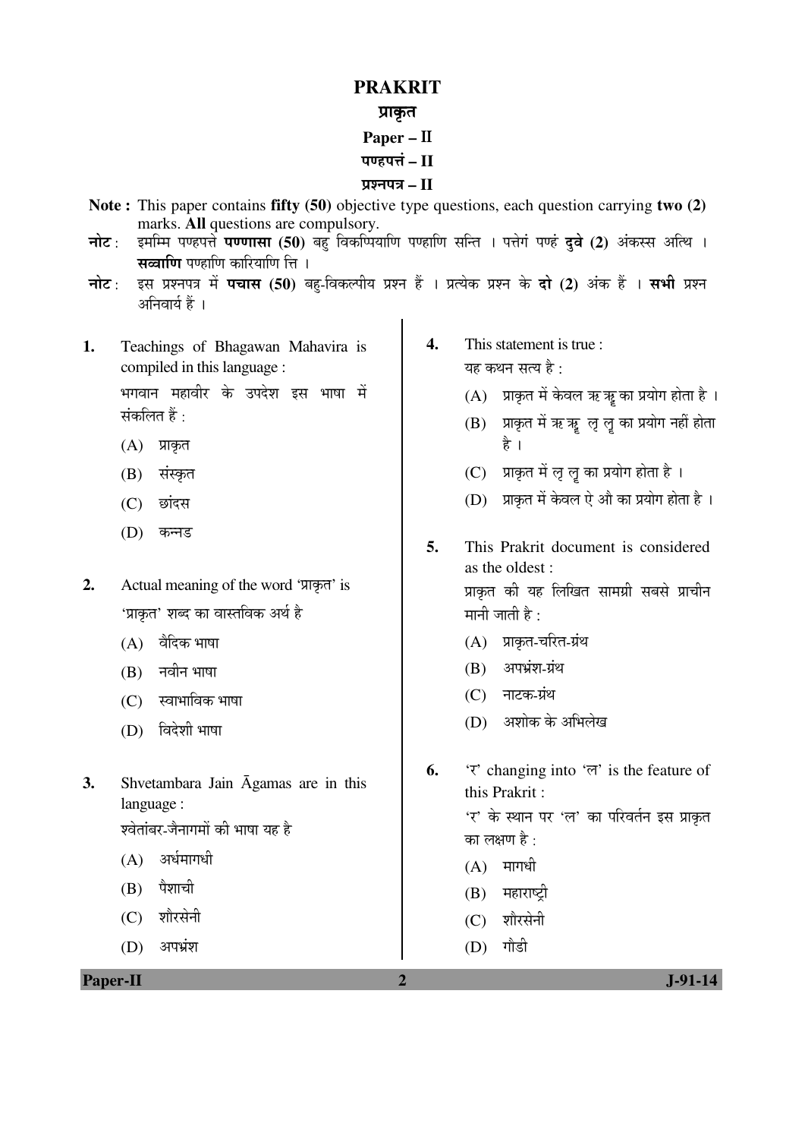## **PRAKRIT**

## प्राकृत

- **Paper –** II
- पण्डपत्तं II

## ¯ÖÏ¿®Ö¯Ö¡Ö **– II**

- **Note :** This paper contains **fifty (50)** objective type questions, each question carrying **two (2)** marks. **All** questions are compulsory.
- **नोट** : इमम्मि पण्हपत्ते **पण्णासा (50)** बहु विकर्प्पियाणि पण्हाणि सन्ति । पत्तेगं पण्हं **दुवे (2)** अंकस्स अत्थि । स**ळाणि** पण्हाणि कारियाणि ति ।
- चोट: इस प्रश्नपत्र में पचास (50) बहु-विकल्पीय प्रश्न हैं । प्रत्येक प्रश्न के दो (2) अंक हैं । सभी प्रश्न अनिवार्य हैं ।
- **1.** Teachings of Bhagawan Mahavira is compiled in this language :

भगवान महावीर के उपदेश इस भाषा में संकलित हैं :

- $(A)$  प्राकृत
- (B) संस्कृत
- (C) छांदस
- (D) कन्नड
- 2. Actual meaning of the word 'प्राकृत' is 'प्राकृत' शब्द का वास्तविक अर्थ है
	- $(A)$  वैदिक भाषा
	- $(B)$  नवीन भाषा
	- $(C)$  स्वाभाविक भाषा
	- (D) विदेशी भाषा
- **3.** Shvetambara Jain Āgamas are in this language : .<br>श्वेतांबर-जैनागमों की भाषा यह है
	- $(A)$  अर्धमागधी
	- $(B)$  पैशाची
	- (C) शौरसेनी
	- $(D)$  अपभ्रंश

**4.** This statement is true : यह कथन सत्य है $\cdot$ 

- $(A)$  प्राकृत में केवल ऋ ऋ का प्रयोग होता है।
- $(B)$  प्राकृत में ऋ ऋ लृ लृ का प्रयोग नहीं होता है ।
- $(C)$  प्राकृत में लृ लृ का प्रयोग होता है।
- (D) प्राकृत में केवल ऐ औ का प्रयोग होता है।
- **5.** This Prakrit document is considered as the oldest : प्राकृत की यह लिखित सामग्री सबसे प्राचीन मानी जाती है:
	- (A) प्राकृत-चरित-ग्रंथ
	- $(B)$  अपभ्रंश-ग्रंथ
	- (C) नाटक-ग्रंथ
	- $(D)$  । अशोक के अभिलेख
- **6.**  $\forall$  changing into  $\forall$  is the feature of this Prakrit :

'र' के स्थान पर 'ल' का परिवर्तन इस प्राकृत का लक्षण है $\, \cdot \,$ 

- $(A)$  मागधी
- $(B)$  महाराष्टी
- (C) शौरसेनी
- $(D)$  गौडी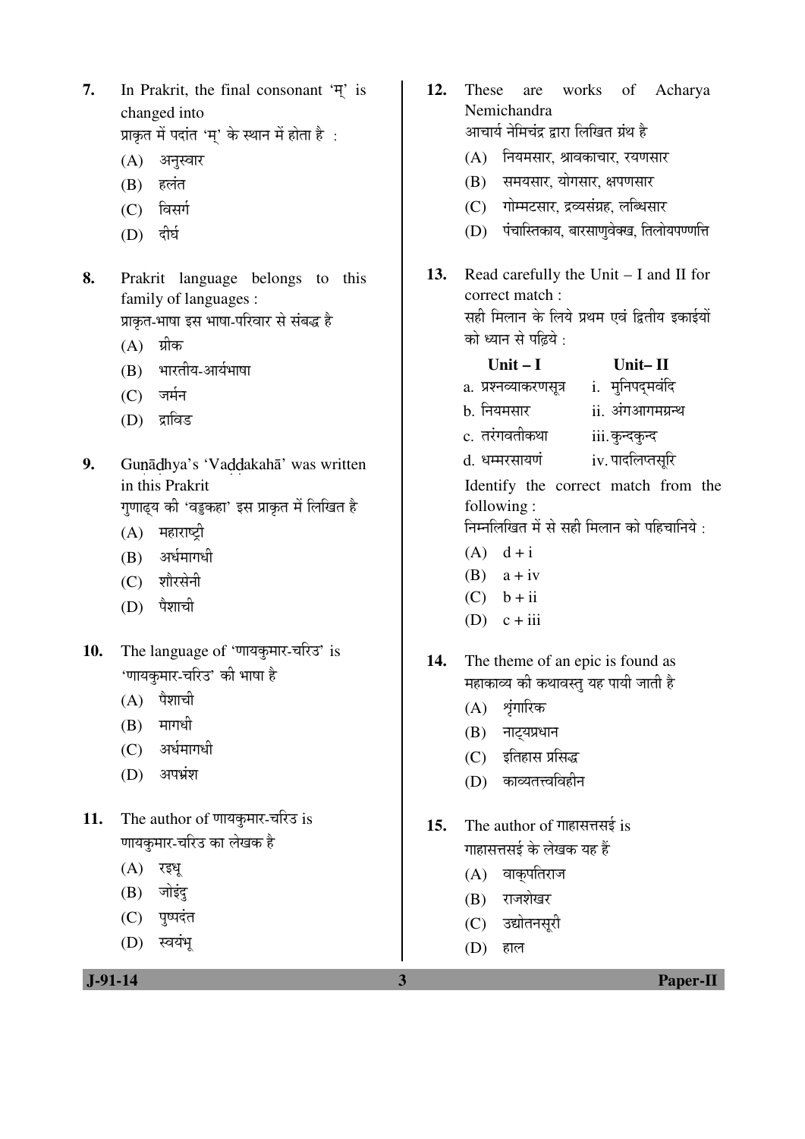**7.** In Prakrit, the final consonant  $\overline{Y}$  is changed into

प्राकृत में पदांत 'म्' के स्थान में होता है :

- (A) अनुस्वार
- (B) हलंत
- (C) विसर्ग
- $(D)$  दीर्घ
- **8.** Prakrit language belongs to this family of languages : प्राकत-भाषा इस भाषा-परिवार से संबद्ध है
	- $(A)$  ग्रीक
	- (B) भारतीय-आर्यभाषा
	- $(C)$  जर्मन
	- (D) द्राविड
- 9. Gunādhya's 'Vaddakahā' was written in this Prakrit गुणाढ्य की 'वडुकहा' इस प्राकृत में लिखित है
	- (A) महाराष्ट्री
	- (B) अर्धमागधी
	- (C) शौरसेनी
	- $(D)$  पैशाची
- 10. The language of 'णायकुमार-चरिउ' is 'णायकुमार-चरिउ' की भाषा है
	- $(A)$  पैशाची
	- $(B)$  मागधी
	- $(C)$  अर्धमागधी
	- (D) अपभ्रंश
- 11. The author of णायकुमार-चरिउ is णायकुमार-चरिउ का लेखक है
	- $(A)$  रइध
	- $(B)$  जोइंदु
	- (C) पृष्पदंत
	- (D) स्वयंभ

- **12.** These are works of Acharya Nemichandra आचार्य नेमिचंद्र द्रारा लिखित ग्रंथ है  $(A)$  नियमसार, श्रावकाचार, रयणसार (B) समयसार, योगसार, क्षपणसार (C) गोम्मटसार, द्रव्यसंग्रह, लब्धिसार  $(D)$  पंचास्तिकाय, बारसाणवेक्ख, तिलोयपण्णत्ति **13.** Read carefully the Unit – I and II for correct match : सही मिलान के लिये प्रथम एवं द्वितीय इकाईयों को ध्यान से पढिये $\cdot$ **Unit – I Unit– II**  a. प्रश्नव्याकरणसूत्र i. मुनिपदुमवंदि b. नियमसार ii. अंगआगमग्रन्थ c. तरंगवतीकथा iii. कुन्दकुन्द d. धम्मरसायणं iv. पादलिप्तसूरि Identify the correct match from the following : निम्नलिखित में से सही मिलान को पहिचानिये $\cdot$  $(A)$  d + i  $(B)$  a + iv  $(C)$  b + ii (D)  $c + iii$ **14.** The theme of an epic is found as महाकाव्य की कथावस्तु यह पायी जाती है
	- $(A)$  शृंगारिक
	- $(B)$  नाट्यप्रधान
	- $(C)$   $\vec{S}$ तिहास प्रसिद्ध
	- (D) काव्यतत्त्वविहीन
- **15.** The author of गाहासत्तसई is गाहासत्तसई के लेखक यह हैं
	- $(A)$  वाकुपतिराज
	- $(B)$  राजशेखर
	- (C) उद्योतनसूरी
	- (D) ÆüÖ»Ö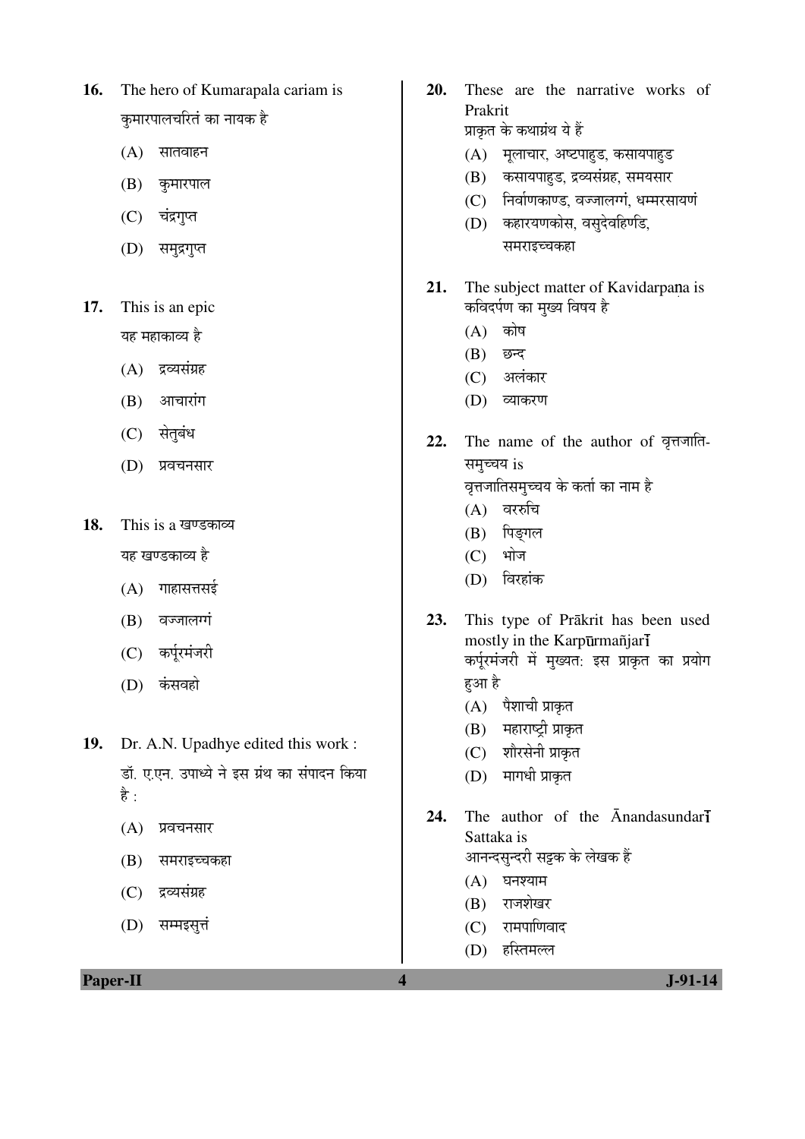- **16.** The hero of Kumarapala cariam is कुमारपालचरितं का नायक है
	- $(A)$  सातवाहन
	- (B) कुमारपाल
	- (C) चंद्रगुप्त
	- (D) समुद्रगुप्त
- **17.** This is an epic यह महाकाव्य है
	- $(A)$  द्रव्यसंग्रह
	- $(B)$  आचारांग
	- (C) सेतुबंध
	- (D) प्रवचनसार
- 18. This is a खण्डकाव्य यह खण्डकाव्य है
	- $(A)$  गाहासत्तसई
	- (B) वज्जालग्गं
	- (C) कर्पूरमंजरी
	- (D) कंसवहो
- **19.** Dr. A.N. Upadhye edited this work : डॉ. ए.एन. उपाध्ये ने इस ग्रंथ का संपादन किया है $\cdot$ 
	- $(A)$  प्रवचनसार
	- (B) समराइच्चकहा
	- (C) द्रव्यसंग्रह
	- $(D)$  सम्मइसत्तं
- **20.** These are the narrative works of Prakrit प्राकृत के कथाग्रंथ ये हैं
	- $(A)$  मुलाचार, अष्टपाहड, कसायपाहड
	- (B) कसायपाहड, द्रव्यसंग्रह, समयसार
	- (C) निर्वाणकाण्ड, वज्जालग्गं, धम्मरसायणं
	- (D) कहारयणकोस, वसुदेवहिणडि, समराइच्चकहा
- **21.** The subject matter of Kavidarpana is कविदर्पण का मुख्य विषय है
	- $(A)$  कोष
	- $(B)$  छन्द
	- (C) अलंकार
	- (D) व्याकरण
- 22. The name of the author of वृत्तजाति-समुच्चय is <u>वृ</u>त्तजातिसमृच्चय के कर्ता का नाम है
	-
	- $(A)$  वररुचि
	- (B) पिङ्गल
	- $(C)$  भोज
	- (D) विरहांक
- **23.** This type of Prākrit has been used mostly in the Karpūrmañjarl कर्पूरमंजरी में मुख्यत. इस प्राकृत का प्रयोग हआ है
	- $(A)$  पैशाची प्राकृत
	- (B) महाराष्ट्री प्राकृत
	- (C) शौरसेनी प्राकृत
	- (D) मागधी प्राकृत
- 24. The author of the **Anandasundari** Sattaka is आनन्दसुन्दरी सट्टक के लेखक हैं
	- $(A)$  घनश्याम
	- $(B)$  राजशेखर
	- $(C)$  रामपाणिवाद
	- $(D)$  हस्तिमल्ल

**Paper-II** J-91-14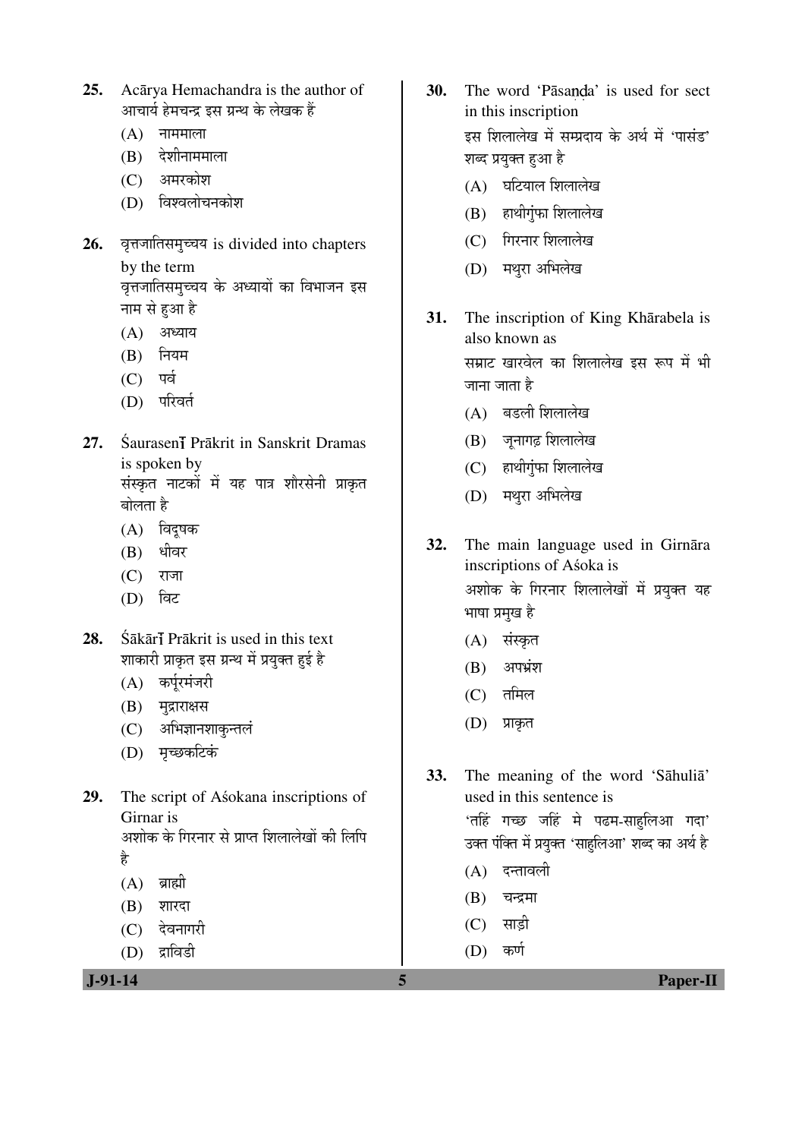- **25.** Acārya Hemachandra is the author of आचार्य हेमचन्द्र इस ग्रन्थ के लेखक हैं
	- $(A)$  नाममाला
	- $(B)$  देशीनाममाला
	- (C) अमरकोश
	- (D) विश्वलोचनकोश
- 26. वृत्तजातिसमुच्चय is divided into chapters by the term वृत्तजातिसमुच्चय के अध्यायों का विभाजन इस
	- नाम से हुआ है  $(A)$  अध्याय
	- $(B)$  नियम
	-
	- $(C)$  पर्व
	- (D) परिवर्त
- 27. Śaurasen<sub>i</sub> Prākrit in Sanskrit Dramas is spoken by संस्कृत नाटकों में यह पात्र शौरसेनी प्राकृत बोलता है
	- $(A)$  विदुषक
	- $(B)$  धीवर
	- $(C)$  राजा
	- $(D)$  ਕਿਟ
- 28. Śākār**ī** Prākrit is used in this text शाकारी प्राकृत इस ग्रन्थ में प्रयुक्त हुई है
	- (A) कर्पूरमंजरी
	- (B) मुद्राराक्षस
	- (C) अभिज्ञानशाकुन्तलं
	- (D) मृच्छकटिकं
- **29.** The script of Aśokana inscriptions of Girnar is अशोक के गिरनार से प्राप्त शिलालेखों की लिपि Æîü
	- $(A)$  ब्राह्मी
	- $(B)$  शारदा
	- (C) देवनागरी
	- (D) द्राविडी

- **30.** The word 'Pāsanda' is used for sect in this inscription इस शिलालेख में सम्प्रदाय के अर्थ में 'पासंड' शब्द प्रयुक्त हुआ है
	- $(A)$  घटियाल शिलालेख
	- $(B)$  हाथीगुंफा शिलालेख
	- (C) गिरनार शिलालेख
	- (D) मथरा अभिलेख
- **31.** The inscription of King Khārabela is also known as सम्राट खारवेल का शिलालेख इस रूप में भी जाना जाता है
	- $(A)$  बडली शिलालेख
	- $(B)$  जुनागढ़ शिलालेख
	- $(C)$  हाथीगंफा शिलालेख
	- (D) मथरा अभिलेख
- **32.** The main language used in Girnāra inscriptions of Aśoka is अशोक के गिरनार शिलालेखों में प्रयुक्त यह भाषा प्रमुख है
	- (A) संस्कृत
	- $(B)$  अपभ्रंश
	- $(C)$  तमिल
	- (D) प्राकृत

**33.** The meaning of the word 'Sāhuliā' used in this sentence is 'तहिं गच्छ जहिं मे पढम-साहलिआ गदा' उक्त पंक्ति में प्रयुक्त 'साहुलिआ' शब्द का अर्थ है

- $(A)$  दन्तावली
- $(B)$  चन्द्रमा
- $(C)$  साड़ी
- 
- $(D)$  कर्ण

 **J-91-14 5 Paper-II**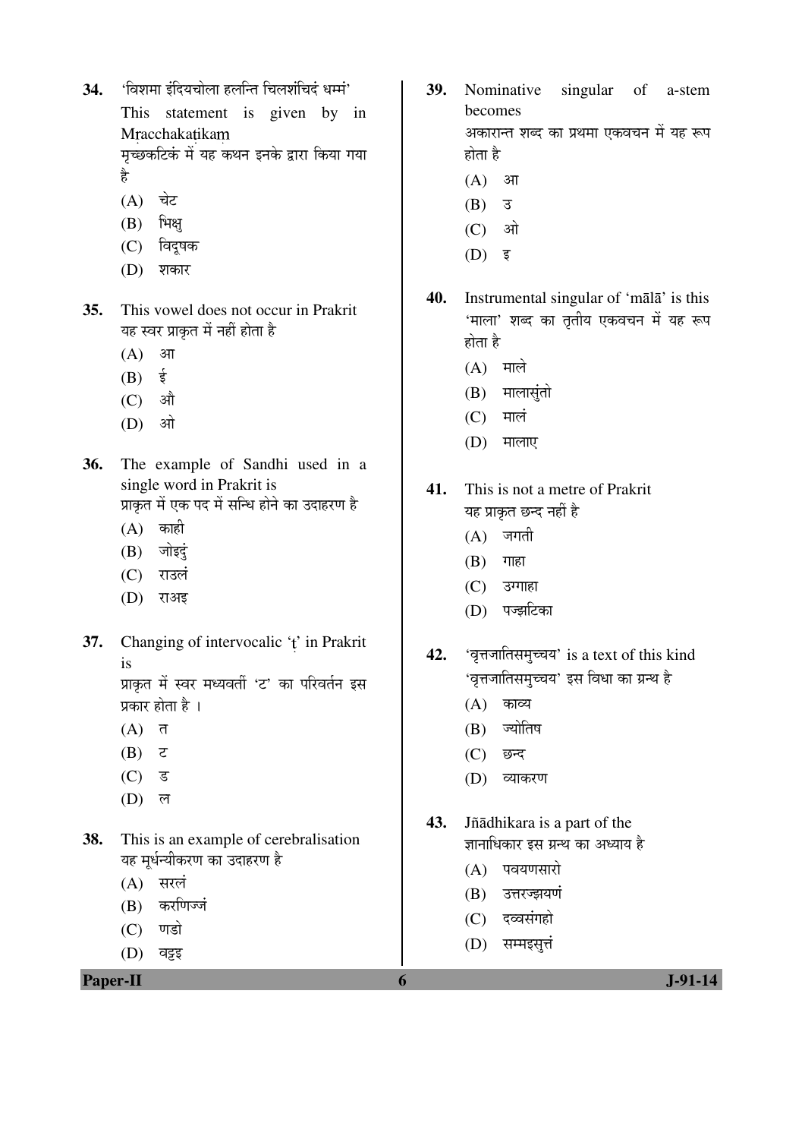34. 'विशमा इंदियचोला हलन्ति चिलशंचिदं धर्म्म'

 This statement is given by in Mracchakatikam मृच्छकटिकं में यह कथन इनके द्वारा किया गया

Æîü

- $(A)$  चेट
- $(B)$  भिक्षु
- (C) विदुषक
- (D) शकार
- **35.** This vowel does not occur in Prakrit यह स्वर प्राकृत में नहीं होता है
	- $(A)$  आ
	- $(B)$   $\dot{\bar{z}}$
	- $(C)$  औ
	- $(D)$  औ
- **36.** The example of Sandhi used in a single word in Prakrit is प्राकृत में एक पद में सन्धि होने का उदाहरण है
	- $(A)$  काही
	- $(B)$  जोइदुं
	- (C) राउलं
	- (D) राअइ
- **37.** Changing of intervocalic 't' in Prakrit is प्राकृत में स्वर मध्यवर्ती 'ट' का परिवर्तन इस

प्रकार होता है ।

- $(A)$  त
- $(B)$   $\zeta$
- $(C)$  ड
- $(D)$  ल
- **38.** This is an example of cerebralisation यह मूर्धन्यीकरण का उदाहरण है
	- $(A)$  सरलं
	- (B) करणिज्जं
	- $(C)$  णडो
	- $(D)$  वड़ह

**Paper-II 6 J-91-14** 

- **39.** Nominative singular of a-stem becomes अकारान्त शब्द का प्रथमा एकवचन में यह रूप होता है
	- $(A)$  आ
	- $(B)$   $\bar{3}$
	- $(C)$  औ
	- $(D)$  इ
- **40.** Instrumental singular of 'mālā' is this 'माला' शब्द का तृतीय एकवचन में यह रूप होता है
	- $(A)$  माले
	- $(B)$  मालासंतो
	- $(C)$  मालं
	- $(D)$  मालाए
- **41.** This is not a metre of Prakrit यह प्राकृत छन्द नहीं है
	- $(A)$  जगती
	- $(B)$  गाहा
	- $(C)$  उग्गाहा
	- (D) पज्झटिका
- **42.** 'वृत्तजातिसमुच्चय' is a text of this kind 'वृत्तजातिसमुच्चय' इस विधा का ग्रन्थ है
	- $(A)$  काव्य
	- (B) ज्योतिष
	- (C) छन्द
	- (D) व्याकरण
- **43.** Jñādhikara is a part of the ज्ञानाधिकार इस ग्रन्थ का अध्याय है
	- $(A)$  पवयणसारो
	- (B) उत्तरज्झयणं
	- (C) दव्वसंगहो
	- $(D)$  सम्मइसत्तं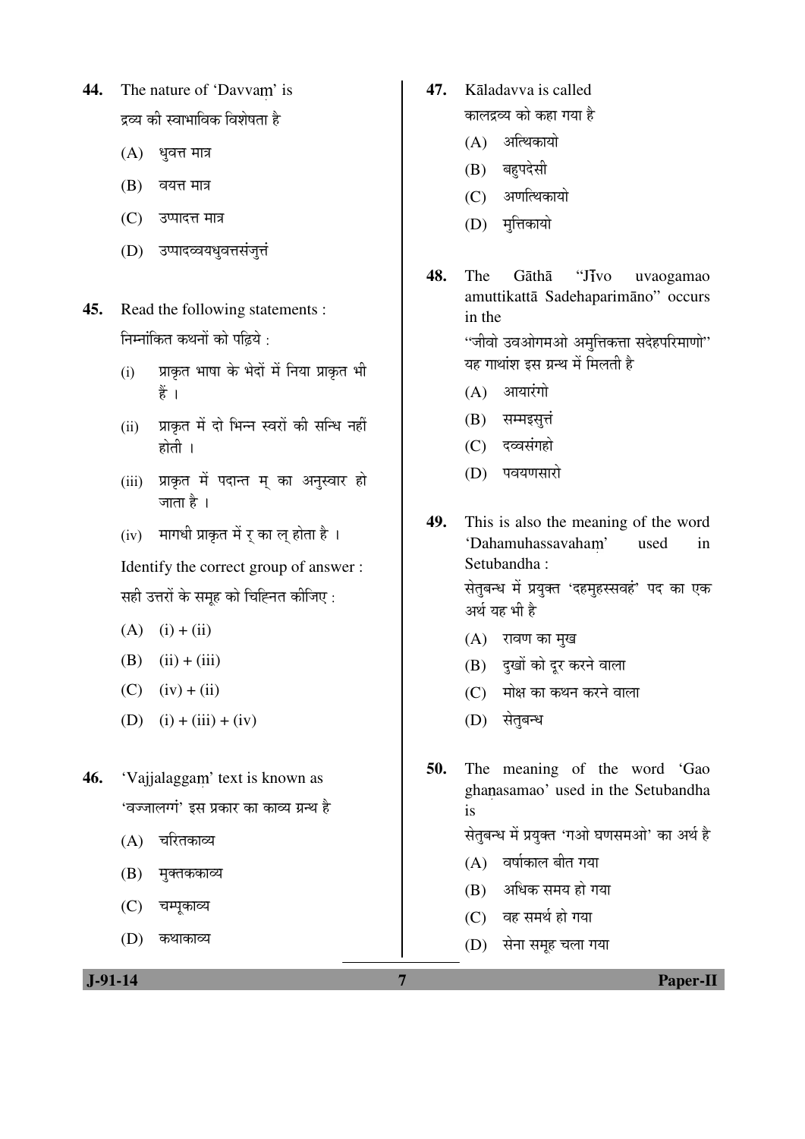- 44. The nature of 'Davvam' is द्रव्य की स्वाभाविक विशेषता है
	- $(A)$  धृवत्त मात्र
	- $(B)$  वयत्त मात्र
	- (C) उप्पादत्त मात्र
	- (D) उप्पादव्वयधवत्तसंजत्तं
- **45.** Read the following statements : निम्नांकित कथनों को पहिये $\cdot$ 
	- (i) प्राकृत भाषा के भेदों में निया प्राकृत भी हैं ।
	- (ii) प्राकृत में दो भिन्न स्वरों की सन्धि नहीं होती $\perp$
	- (iii) प्राकृत में पदान्त म् का अनुस्वार हो जाता है ।
	- $(iv)$  गागधी प्राकृत में र का ल होता है।

Identify the correct group of answer : सही उत्तरों के समूह को चिह्नित कीजिए :

- $(A)$  (i) + (ii)
- (B)  $(ii) + (iii)$
- $(C)$   $(iv) + (ii)$
- (D)  $(i) + (iii) + (iv)$
- 46. 'Vajjalaggam' text is known as 'वज्जालग्गं' इस प्रकार का काव्य ग्रन्थ है
	- $(A)$  चरितकाव्य
	- (B) मुक्तककाव्य
	- (C) चम्पूकाव्य
	- (D) कथाकाव्य
- **47.** Kāladavva is called कालद्रव्य को कहा गया है
	- $(A)$  अत्थिकायो
	- (B) बहुपदेसी
	- (C) अणत्थिकायो
	- $(D)$  मत्तिकायो
- **48.** The Gāthā "Jivo uvaogamao amuttikattā Sadehaparimāno" occurs in the

"जीवो उवओगमओ अमुत्तिकत्ता सदेहपरिमाणो" यह गाथांश इस ग्रन्थ में मिलती है

- $(A)$  आयारंगो
- $(B)$  सम्मइसुत्तं
- (C) दव्वसंगहो
- (D) पवयणसारो
- **49.** This is also the meaning of the word 'Dahamuhassayaham' used in Setubandha :

सेतुबन्ध में प्रयुक्त 'दहमुहस्सवहं' पद का एक अर्थ यह भी है

- $(A)$  रावण का मुख
- $(B)$  दुखों को दूर करने वाला
- (C) मोक्ष का कथन करने वाला
- (D) सेतबन्ध

**50.** The meaning of the word 'Gao ghanasamao' used in the Setubandha is

सेतुबन्ध में प्रयुक्त 'गओ घणसमओ' का अर्थ है

- $(A)$  वर्षाकाल बीत गया
- $(B)$  अधिक समय हो गया
- $(C)$  वह समर्थ हो गया
- (D) सेना समूह चला गया

 **J-91-14 7 Paper-II**